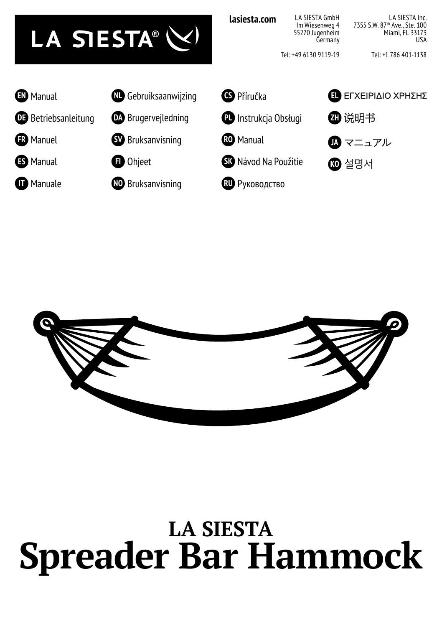| LA SIESTA®                  |                             | lasiesta.com                    | LA SIESTA GmbH<br>Im Wiesenweg 4<br>55270 Jugenheim<br>Germany | LA SIESTA Inc.<br>7355 S.W. 87th Ave., Ste. 100<br>Miami, FL 33173<br>USA |
|-----------------------------|-----------------------------|---------------------------------|----------------------------------------------------------------|---------------------------------------------------------------------------|
|                             |                             |                                 | Tel: +49 6130 9119-19                                          | Tel: +1 786 401-1138                                                      |
| <b>ED</b> Manual            | <b>W</b> Gebruiksaanwijzing | <sup>6</sup> Příručka           |                                                                | <b>ED EΓΧΕΙΡΙΔΙΟ ΧΡΗΣΗΣ</b>                                               |
| <b>DE</b> Betriebsanleitung | <b>DA</b> Brugervejledning  | <sup>2</sup> Instrukcja Obsługi |                                                                | 4 说明书                                                                     |
| <b>B</b> Manuel             | <b>SV</b> Bruksanvisning    | <b>RO</b> Manual                |                                                                | 10 マニュアル                                                                  |
| <b>B</b> Manual             | <b>D</b> Ohjeet             | <b>SIG</b> Návod Na Použitie    |                                                                | <b>⑩</b> 설명서                                                              |
| <b>D</b> Manuale            | <b>NO</b> Bruksanvisning    | <b>CD</b> Руководство           |                                                                |                                                                           |



# **Spreader Bar Hammock LA SIESTA**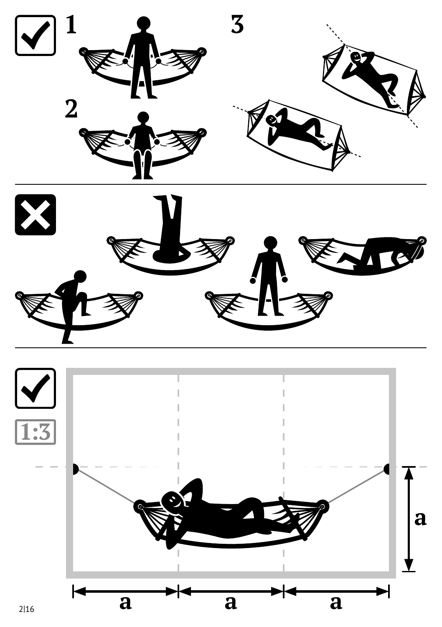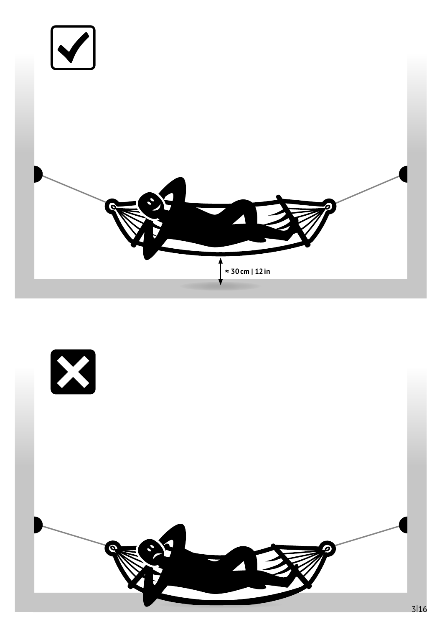

![](_page_2_Picture_1.jpeg)

![](_page_2_Picture_2.jpeg)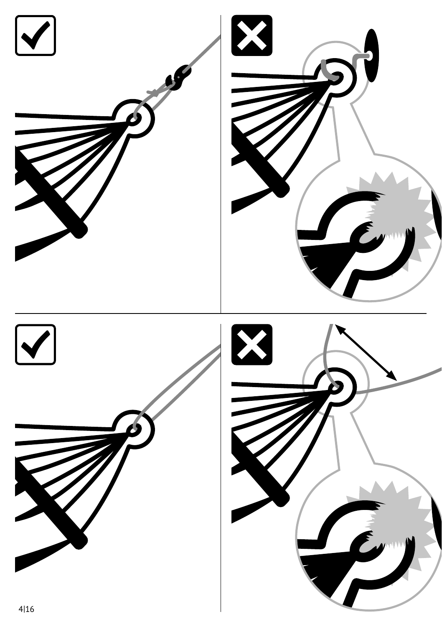![](_page_3_Picture_0.jpeg)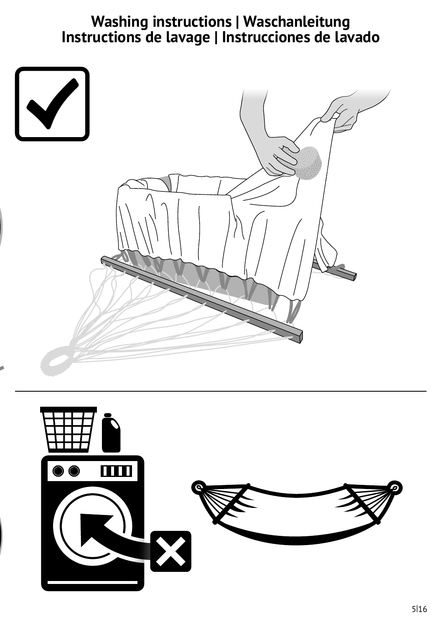#### **Washing instructions | Waschanleitung Instructions de lavage | Instrucciones de lavado**

![](_page_4_Picture_1.jpeg)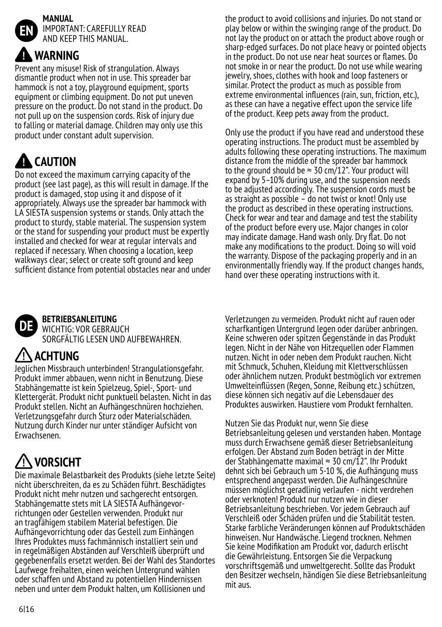![](_page_5_Picture_0.jpeg)

**MANUAL** IMPORTANT: CAREFULLY READ AND KEEP THIS MANUAL.

### **WARNING**

Prevent any misuse! Risk of strangulation. Always dismantle product when not in use. This spreader bar hammock is not a toy, playground equipment, sports equipment or climbing equipment. Do not put uneven pressure on the product. Do not stand in the product. Do not pull up on the suspension cords. Risk of injury due to falling or material damage. Children may only use this product under constant adult supervision.

## **A** CAUTION

Do not exceed the maximum carrying capacity of the product (see last page), as this will result in damage. If the product is damaged, stop using it and dispose of it appropriately. Always use the spreader bar hammock with LA SIESTA suspension systems or stands. Only attach the product to sturdy, stable material. The suspension system or the stand for suspending your product must be expertly installed and checked for wear at regular intervals and replaced if necessary. When choosing a location, keep walkways clear; select or create soft ground and keep sufficient distance from potential obstacles near and under the product to avoid collisions and injuries. Do not stand or play below or within the swinging range of the product. Do not lay the product on or attach the product above rough or sharp-edged surfaces. Do not place heavy or pointed objects in the product. Do not use near heat sources or flames. Do not smoke in or near the product. Do not use while wearing jewelry, shoes, clothes with hook and loop fasteners or similar. Protect the product as much as possible from extreme environmental influences (rain, sun, friction, etc.), as these can have a negative effect upon the service life of the product. Keep pets away from the product.

Only use the product if you have read and understood these operating instructions. The product must be assembled by adults following these operating instructions. The maximum distance from the middle of the spreader bar hammock to the ground should be  $\approx 30$  cm/12". Your product will expand by 5–10% during use, and the suspension needs to be adjusted accordingly. The suspension cords must be as straight as possible – do not twist or knot! Only use the product as described in these operating instructions. Check for wear and tear and damage and test the stability of the product before every use. Major changes in color may indicate damage. Hand wash only. Dry flat. Do not make any modifications to the product. Doing so will void the warranty. Dispose of the packaging properly and in an environmentally friendly way. If the product changes hands, hand over these operating instructions with it.

![](_page_5_Picture_8.jpeg)

#### **BETRIEBSANLEITUNG** WICHTIG: VOR GEBRAUCH

SORGFÄLTIG LESEN UND AUFBEWAHREN.

### **ACHTUNG**

Jeglichen Missbrauch unterbinden! Strangulationsgefahr. Produkt immer abbauen, wenn nicht in Benutzung. Diese Stabhängematte ist kein Spielzeug, Spiel-, Sport- und Klettergerät. Produkt nicht punktuell belasten. Nicht in das Produkt stellen. Nicht an Aufhängeschnüren hochziehen. Verletzungsgefahr durch Sturz oder Materialschäden. Nutzung durch Kinder nur unter ständiger Aufsicht von Erwachsenen.

## **/ NORSICHT**

Die maximale Belastbarkeit des Produkts (siehe letzte Seite) nicht überschreiten, da es zu Schäden führt. Beschädigtes Produkt nicht mehr nutzen und sachgerecht entsorgen. Stabhängematte stets mit LA SIESTA Aufhängevorrichtungen oder Gestellen verwenden. Produkt nur an tragfähigem stabilem Material befestigen. Die Aufhängevorrichtung oder das Gestell zum Einhängen Ihres Produktes muss fachmännisch installiert sein und in regelmäßigen Abständen auf Verschleiß überprüft und gegebenenfalls ersetzt werden. Bei der Wahl des Standortes Laufwege freihalten, einen weichen Untergrund wählen oder schaffen und Abstand zu potentiellen Hindernissen neben und unter dem Produkt halten, um Kollisionen und

Verletzungen zu vermeiden. Produkt nicht auf rauen oder scharfkantigen Untergrund legen oder darüber anbringen. Keine schweren oder spitzen Gegenstände in das Produkt legen. Nicht in der Nähe von Hitzequellen oder Flammen nutzen. Nicht in oder neben dem Produkt rauchen. Nicht mit Schmuck, Schuhen, Kleidung mit Klettverschlüssen oder ähnlichem nutzen. Produkt bestmöglich vor extremen Umwelteinflüssen (Regen, Sonne, Reibung etc.) schützen, diese können sich negativ auf die Lebensdauer des Produktes auswirken. Haustiere vom Produkt fernhalten.

Nutzen Sie das Produkt nur, wenn Sie diese Betriebsanleitung gelesen und verstanden haben. Montage muss durch Erwachsene gemäß dieser Betriebsanleitung erfolgen. Der Abstand zum Boden beträgt in der Mitte der Stabhängematte maximal ≈ 30 cm/12". Ihr Produkt dehnt sich bei Gebrauch um 5-10 %, die Aufhängung muss entsprechend angepasst werden. Die Aufhängeschnüre müssen möglichst geradlinig verlaufen - nicht verdrehen oder verknoten! Produkt nur nutzen wie in dieser Betriebsanleitung beschrieben. Vor jedem Gebrauch auf Verschleiß oder Schäden prüfen und die Stabilität testen. Starke farbliche Veränderungen können auf Produktschäden hinweisen. Nur Handwäsche. Liegend trocknen. Nehmen Sie keine Modifikation am Produkt vor, dadurch erlischt die Gewährleistung. Entsorgen Sie die Verpackung vorschriftsgemäß und umweltgerecht. Sollte das Produkt den Besitzer wechseln, händigen Sie diese Betriebsanleitung mit aus.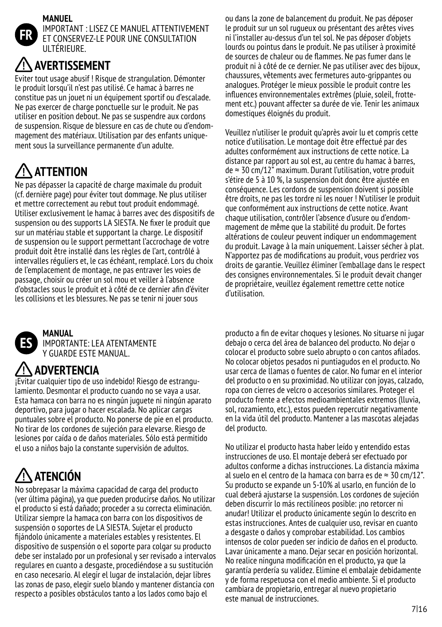![](_page_6_Picture_0.jpeg)

![](_page_6_Picture_1.jpeg)

IMPORTANT : LISEZ CE MANUEL ATTENTIVEMENT ET CONSERVEZ-LE POUR UNE CONSULTATION ULTÉRIEURE.

#### **AVERTISSEMENT**

Eviter tout usage abusif ! Risque de strangulation. Démonter le produit lorsqu'il n'est pas utilisé. Ce hamac à barres ne constitue pas un jouet ni un équipement sportif ou d'escalade. Ne pas exercer de charge ponctuelle sur le produit. Ne pas utiliser en position debout. Ne pas se suspendre aux cordons de suspension. Risque de blessure en cas de chute ou d'endommagement des matériaux. Utilisation par des enfants uniquement sous la surveillance permanente d'un adulte.

## **ATTENTION**

Ne pas dépasser la capacité de charge maximale du produit (cf. dernière page) pour éviter tout dommage. Ne plus utiliser et mettre correctement au rebut tout produit endommagé. Utiliser exclusivement le hamac à barres avec des dispositifs de suspension ou des supports LA SIESTA. Ne fixer le produit que sur un matériau stable et supportant la charge. Le dispositif de suspension ou le support permettant l'accrochage de votre produit doit être installé dans les règles de l'art, contrôlé à intervalles réguliers et, le cas échéant, remplacé. Lors du choix de l'emplacement de montage, ne pas entraver les voies de passage, choisir ou créer un sol mou et veiller à l'absence d'obstacles sous le produit et à côté de ce dernier afin d'éviter les collisions et les blessures. Ne pas se tenir ni jouer sous

ou dans la zone de balancement du produit. Ne pas déposer le produit sur un sol rugueux ou présentant des arêtes vives ni l'installer au-dessus d'un tel sol. Ne pas déposer d'objets lourds ou pointus dans le produit. Ne pas utiliser à proximité de sources de chaleur ou de flammes. Ne pas fumer dans le produit ni à côté de ce dernier. Ne pas utiliser avec des bijoux, chaussures, vêtements avec fermetures auto-grippantes ou analogues. Protéger le mieux possible le produit contre les influences environnementales extrêmes (pluie, soleil, frottement etc.) pouvant affecter sa durée de vie. Tenir les animaux domestiques éloignés du produit.

Veuillez n'utiliser le produit qu'après avoir lu et compris cette notice d'utilisation. Le montage doit être effectué par des adultes conformément aux instructions de cette notice. La distance par rapport au sol est, au centre du hamac à barres, de ≈ 30 cm/12" maximum. Durant l'utilisation, votre produit s'étire de 5 à 10 %, la suspension doit donc être ajustée en conséquence. Les cordons de suspension doivent si possible être droits, ne pas les tordre ni les nouer ! N'utiliser le produit que conformément aux instructions de cette notice. Avant chaque utilisation, contrôler l'absence d'usure ou d'endommagement de même que la stabilité du produit. De fortes altérations de couleur peuvent indiquer un endommagement du produit. Lavage à la main uniquement. Laisser sécher à plat. N'apportez pas de modifications au produit, vous perdriez vos droits de garantie. Veuillez éliminer l'emballage dans le respect des consignes environnementales. Si le produit devait changer de propriétaire, veuillez également remettre cette notice d'utilisation.

![](_page_6_Picture_9.jpeg)

**MANUAL** IMPORTANTE: LEA ATENTAMENTE Y GUARDE ESTE MANUAL.

#### **ADVERTENCIA**

¡Evitar cualquier tipo de uso indebido! Riesgo de estrangulamiento. Desmontar el producto cuando no se vaya a usar. Esta hamaca con barra no es ningún juguete ni ningún aparato deportivo, para jugar o hacer escalada. No aplicar cargas puntuales sobre el producto. No ponerse de pie en el producto. No tirar de los cordones de sujeción para elevarse. Riesgo de lesiones por caída o de daños materiales. Sólo está permitido el uso a niños bajo la constante supervisión de adultos.

## **ATENCIÓN**

No sobrepasar la máxima capacidad de carga del producto (ver última página), ya que pueden producirse daños. No utilizar el producto si está dañado; proceder a su correcta eliminación. Utilizar siempre la hamaca con barra con los dispositivos de suspensión o soportes de LA SIESTA. Sujetar el producto fijándolo únicamente a materiales estables y resistentes. El dispositivo de suspensión o el soporte para colgar su producto debe ser instalado por un profesional y ser revisado a intervalos regulares en cuanto a desgaste, procediéndose a su sustitución en caso necesario. Al elegir el lugar de instalación, dejar libres las zonas de paso, elegir suelo blando y mantener distancia con respecto a posibles obstáculos tanto a los lados como bajo el

producto a fin de evitar choques y lesiones. No situarse ni jugar debajo o cerca del área de balanceo del producto. No dejar o colocar el producto sobre suelo abrupto o con cantos afilados. No colocar objetos pesados ni puntiagudos en el producto. No usar cerca de llamas o fuentes de calor. No fumar en el interior del producto o en su proximidad. No utilizar con joyas, calzado, ropa con cierres de velcro o accesorios similares. Proteger el producto frente a efectos medioambientales extremos (lluvia, sol, rozamiento, etc.), estos pueden repercutir negativamente en la vida útil del producto. Mantener a las mascotas alejadas del producto.

No utilizar el producto hasta haber leído y entendido estas instrucciones de uso. El montaje deberá ser efectuado por adultos conforme a dichas instrucciones. La distancia máxima al suelo en el centro de la hamaca con barra es de ≈ 30 cm/12". Su producto se expande un 5-10% al usarlo, en función de lo cual deberá ajustarse la suspensión. Los cordones de sujeción deben discurrir lo más rectilíneos posible: ¡no retorcer ni anudar! Utilizar el producto únicamente según lo descrito en estas instrucciones. Antes de cualquier uso, revisar en cuanto a desgaste o daños y comprobar estabilidad. Los cambios intensos de color pueden ser indicio de daños en el producto. Lavar únicamente a mano. Dejar secar en posición horizontal. No realice ninguna modificación en el producto, ya que la garantía perdería su validez. Elimine el embalaje debidamente y de forma respetuosa con el medio ambiente. Si el producto cambiara de propietario, entregar al nuevo propietario este manual de instrucciones.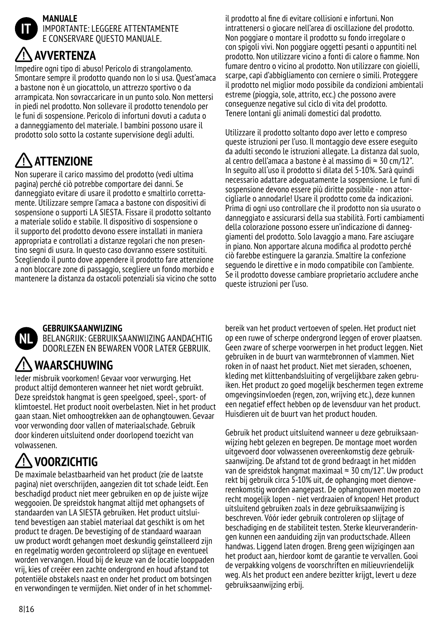![](_page_7_Picture_0.jpeg)

**MANUALE** IMPORTANTE: LEGGERE ATTENTAMENTE E CONSERVARE QUESTO MANUALE.

#### **AVVERTENZA**

Impedire ogni tipo di abuso! Pericolo di strangolamento. Smontare sempre il prodotto quando non lo si usa. Quest'amaca a bastone non è un giocattolo, un attrezzo sportivo o da arrampicata. Non sovraccaricare in un punto solo. Non mettersi in piedi nel prodotto. Non sollevare il prodotto tenendolo per le funi di sospensione. Pericolo di infortuni dovuti a caduta o a danneggiamento del materiale. I bambini possono usare il prodotto solo sotto la costante supervisione degli adulti.

## **ATTENZIONE**

Non superare il carico massimo del prodotto (vedi ultima pagina) perché ciò potrebbe comportare dei danni. Se danneggiato evitare di usare il prodotto e smaltirlo correttamente. Utilizzare sempre l'amaca a bastone con dispositivi di sospensione o supporti LA SIESTA. Fissare il prodotto soltanto a materiale solido e stabile. Il dispositivo di sospensione o il supporto del prodotto devono essere installati in maniera appropriata e controllati a distanze regolari che non presentino segni di usura. In questo caso dovranno essere sostituiti. Scegliendo il punto dove appendere il prodotto fare attenzione a non bloccare zone di passaggio, scegliere un fondo morbido e mantenere la distanza da ostacoli potenziali sia vicino che sotto il prodotto al fine di evitare collisioni e infortuni. Non intrattenersi o giocare nell'area di oscillazione del prodotto. Non poggiare o montare il prodotto su fondo irregolare o con spigoli vivi. Non poggiare oggetti pesanti o appuntiti nel prodotto. Non utilizzare vicino a fonti di calore o fiamme. Non fumare dentro o vicino al prodotto. Non utilizzare con gioielli, scarpe, capi d'abbigliamento con cerniere o simili. Proteggere il prodotto nel miglior modo possibile da condizioni ambientali estreme (pioggia, sole, attrito, ecc.) che possono avere conseguenze negative sul ciclo di vita del prodotto. Tenere lontani gli animali domestici dal prodotto.

Utilizzare il prodotto soltanto dopo aver letto e compreso queste istruzioni per l'uso. Il montaggio deve essere eseguito da adulti secondo le istruzioni allegate. La distanza dal suolo, al centro dell'amaca a bastone è al massimo di ≈ 30 cm/12". In seguito all'uso il prodotto si dilata del 5-10%. Sarà quindi necessario adattare adeguatamente la sospensione. Le funi di sospensione devono essere più diritte possibile - non attorcigliarle o annodarle! Usare il prodotto come da indicazioni. Prima di ogni uso controllare che il prodotto non sia usurato o danneggiato e assicurarsi della sua stabilità. Forti cambiamenti della colorazione possono essere un'indicazione di danneggiamenti del prodotto. Solo lavaggio a mano. Fare asciugare in piano. Non apportare alcuna modifica al prodotto perché ciò farebbe estinguere la garanzia. Smaltire la confezione seguendo le direttive e in modo compatibile con l'ambiente. Se il prodotto dovesse cambiare proprietario accludere anche queste istruzioni per l'uso.

![](_page_7_Picture_8.jpeg)

#### **GEBRUIKSAANWIJZING**

BELANGRIJK: GEBRUIKSAANWIJZING AANDACHTIG DOORLEZEN EN BEWAREN VOOR LATER GEBRUIK.

### **WAARSCHUWING**

Ieder misbruik voorkomen! Gevaar voor verwurging. Het product altijd demonteren wanneer het niet wordt gebruikt. Deze spreidstok hangmat is geen speelgoed, speel-, sport- of klimtoestel. Het product nooit overbelasten. Niet in het product gaan staan. Niet omhoogtrekken aan de ophangtouwen. Gevaar voor verwonding door vallen of materiaalschade. Gebruik door kinderen uitsluitend onder doorlopend toezicht van volwassenen.

## **/ NOORZICHTIG**

De maximale belastbaarheid van het product (zie de laatste pagina) niet overschrijden, aangezien dit tot schade leidt. Een beschadigd product niet meer gebruiken en op de juiste wijze weggooien. De spreidstok hangmat altijd met ophangsets of standaarden van LA SIESTA gebruiken. Het product uitsluitend bevestigen aan stabiel materiaal dat geschikt is om het product te dragen. De bevestiging of de standaard waaraan uw product wordt gehangen moet deskundig geïnstalleerd zijn en regelmatig worden gecontroleerd op slijtage en eventueel worden vervangen. Houd bij de keuze van de locatie looppaden vrij, kies of creëer een zachte ondergrond en houd afstand tot potentiële obstakels naast en onder het product om botsingen en verwondingen te vermijden. Niet onder of in het schommel-

bereik van het product vertoeven of spelen. Het product niet op een ruwe of scherpe ondergrond leggen of erover plaatsen. Geen zware of scherpe voorwerpen in het product leggen. Niet gebruiken in de buurt van warmtebronnen of vlammen. Niet roken in of naast het product. Niet met sieraden, schoenen, kleding met klittenbandsluiting of vergelijkbare zaken gebruiken. Het product zo goed mogelijk beschermen tegen extreme omgevingsinvloeden (regen, zon, wrijving etc.), deze kunnen een negatief effect hebben op de levensduur van het product. Huisdieren uit de buurt van het product houden.

Gebruik het product uitsluitend wanneer u deze gebruiksaanwijzing hebt gelezen en begrepen. De montage moet worden uitgevoerd door volwassenen overeenkomstig deze gebruiksaanwijzing. De afstand tot de grond bedraagt in het midden van de spreidstok hangmat maximaal ≈ 30 cm/12". Uw product rekt bij gebruik circa 5-10% uit, de ophanging moet dienovereenkomstig worden aangepast. De ophangtouwen moeten zo recht mogelijk lopen - niet verdraaien of knopen! Het product uitsluitend gebruiken zoals in deze gebruiksaanwijzing is beschreven. Vóór ieder gebruik controleren op slijtage of beschadiging en de stabiliteit testen. Sterke kleurveranderingen kunnen een aanduiding zijn van productschade. Alleen handwas. Liggend laten drogen. Breng geen wijzigingen aan het product aan, hierdoor komt de garantie te vervallen. Gooi de verpakking volgens de voorschriften en milieuvriendelijk weg. Als het product een andere bezitter krijgt, levert u deze gebruiksaanwijzing erbij.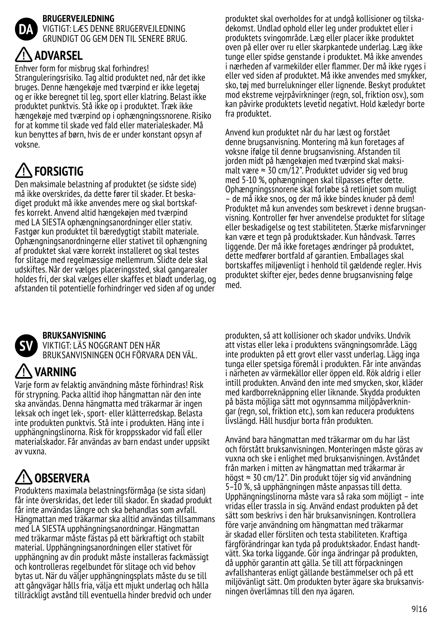![](_page_8_Picture_0.jpeg)

#### **BRUGERVEJLEDNING**

VIGTIGT: LÆS DENNE BRUGERVEJLEDNING GRUNDIGT OG GEM DEN TIL SENERE BRUG.

#### **ADVARSEL**

Enhver form for misbrug skal forhindres!

Stranguleringsrisiko. Tag altid produktet ned, når det ikke bruges. Denne hængekøje med tværpind er ikke legetøj og er ikke beregnet til leg, sport eller klatring. Belast ikke produktet punktvis. Stå ikke op i produktet. Træk ikke hængekøje med tværpind op i ophængningssnorene. Risiko for at komme til skade ved fald eller materialeskader. Må kun benyttes af børn, hvis de er under konstant opsyn af voksne.

## **FORSIGTIG**

Den maksimale belastning af produktet (se sidste side) må ikke overskrides, da dette fører til skader. Et beskadiget produkt må ikke anvendes mere og skal bortskaffes korrekt. Anvend altid hængekøjen med tværpind med LA SIESTA ophængningsanordninger eller stativ. Fastgør kun produktet til bæredygtigt stabilt materiale. Ophængningsanordningerne eller stativet til ophængning af produktet skal være korrekt installeret og skal testes for slitage med regelmæssige mellemrum. Slidte dele skal udskiftes. Når der vælges placeringssted, skal gangarealer holdes fri, der skal vælges eller skaffes et blødt underlag, og afstanden til potentielle forhindringer ved siden af og under

produktet skal overholdes for at undgå kollisioner og tilskadekomst. Undlad ophold eller leg under produktet eller i produktets svingområde. Læg eller placer ikke produktet oven på eller over ru eller skarpkantede underlag. Læg ikke tunge eller spidse genstande i produktet. Må ikke anvendes i nærheden af varmekilder eller flammer. Der må ikke ryges i eller ved siden af produktet. Må ikke anvendes med smykker, sko, tøj med burrelukninger eller lignende. Beskyt produktet mod ekstreme vejrpåvirkninger (regn, sol, friktion osv.), som kan påvirke produktets levetid negativt. Hold kæledyr borte fra produktet.

Anvend kun produktet når du har læst og forstået denne brugsanvisning. Montering må kun foretages af voksne ifølge til denne brugsanvisning. Afstanden til jorden midt på hængekøjen med tværpind skal maksimalt være ≈ 30 cm/12". Produktet udvider sig ved brug med 5-10 %, ophængningen skal tilpasses efter dette. Ophængningssnorene skal forløbe så retlinjet som muligt – de må ikke snos, og der må ikke bindes knuder på dem! Produktet må kun anvendes som beskrevet i denne brugsanvisning. Kontroller før hver anvendelse produktet for slitage eller beskadigelse og test stabiliteten. Stærke misfarvninger kan være et tegn på produktskader. Kun håndvask. Tørres liggende. Der må ikke foretages ændringer på produktet, dette medfører bortfald af garantien. Emballages skal bortskaffes miljøvenligt i henhold til gældende regler. Hvis produktet skifter ejer, bedes denne brugsanvisning følge med.

![](_page_8_Picture_10.jpeg)

#### **BRUKSANVISNING**

VIKTIGT: LÄS NOGGRANT DEN HÄR BRUKSANVISNINGEN OCH FÖRVARA DEN VÄL.

### **Y!\ VARNING**

Varje form av felaktig användning måste förhindras! Risk för strypning. Packa alltid ihop hängmattan när den inte ska användas. Denna hängmatta med träkarmar är ingen leksak och inget lek-, sport- eller klätterredskap. Belasta inte produkten punktvis. Stå inte i produkten. Häng inte i upphängningslinorna. Risk för kroppsskador vid fall eller materialskador. Får användas av barn endast under uppsikt av vuxna.

## **OBSERVERA**

Produktens maximala belastningsförmåga (se sista sidan) får inte överskridas, det leder till skador. En skadad produkt får inte användas längre och ska behandlas som avfall. Hängmattan med träkarmar ska alltid användas tillsammans med LA SIESTA upphängningsanordningar. Hängmattan med träkarmar måste fästas på ett bärkraftigt och stabilt material. Upphängningsanordningen eller stativet för upphängning av din produkt måste installeras fackmässigt och kontrolleras regelbundet för slitage och vid behov bytas ut. När du väljer upphängningsplats måste du se till att gångvägar hålls fria, välja ett mjukt underlag och hålla tillräckligt avstånd till eventuella hinder bredvid och under

produkten, så att kollisioner och skador undviks. Undvik att vistas eller leka i produktens svängningsområde. Lägg inte produkten på ett grovt eller vasst underlag. Lägg inga tunga eller spetsiga föremål i produkten. Får inte användas i närheten av värmekällor eller öppen eld. Rök aldrig i eller intill produkten. Använd den inte med smycken, skor, kläder med kardborreknäppning eller liknande. Skydda produkten på bästa möjliga sätt mot ogynnsamma miljöpåverkningar (regn, sol, friktion etc.), som kan reducera produktens livslängd. Håll husdjur borta från produkten.

Använd bara hängmattan med träkarmar om du har läst och förstått bruksanvisningen. Monteringen måste göras av vuxna och ske i enlighet med bruksanvisningen. Avståndet från marken i mitten av hängmattan med träkarmar är högst ≈ 30 cm/12". Din produkt töjer sig vid användning 5–10 %, så upphängningen måste anpassas till detta. Upphängningslinorna måste vara så raka som möjligt – inte vridas eller trassla in sig. Använd endast produkten på det sätt som beskrivs i den här bruksanvisningen. Kontrollera före varje användning om hängmattan med träkarmar är skadad eller försliten och testa stabiliteten. Kraftiga färgförändringar kan tyda på produktskador. Endast handtvätt. Ska torka liggande. Gör inga ändringar på produkten, då upphör garantin att gälla. Se till att förpackningen avfallshanteras enligt gällande bestämmelser och på ett miljövänligt sätt. Om produkten byter ägare ska bruksanvis-<br>ningen överlämnas till den nya ägaren.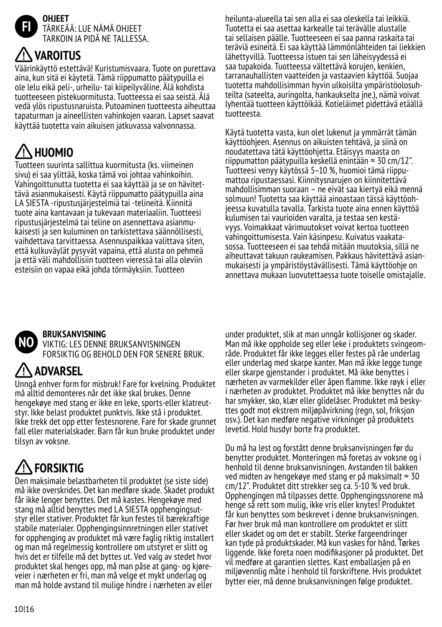![](_page_9_Picture_0.jpeg)

## **VAROITUS**

Väärinkäyttö estettävä! Kuristumisvaara. Tuote on purettava aina, kun sitä ei käytetä. Tämä riippumatto päätypuilla ei ole lelu eikä peli-, urheilu- tai kiipeilyväline. Älä kohdista tuotteeseen pistekuormitusta. Tuotteessa ei saa seistä. Älä vedä ylös ripustusnaruista. Putoaminen tuotteesta aiheuttaa tapaturman ja aineellisten vahinkojen vaaran. Lapset saavat käyttää tuotetta vain aikuisen jatkuvassa valvonnassa.

## **HUOMIO**

Tuotteen suurinta sallittua kuormitusta (ks. viimeinen sivu) ei saa ylittää, koska tämä voi johtaa vahinkoihin. Vahingoittunutta tuotetta ei saa käyttää ja se on hävitettävä asianmukaisesti. Käytä riippumatto päätypuilla aina LA SIESTA -ripustusjärjestelmiä tai -telineitä. Kiinnitä tuote aina kantavaan ja tukevaan materiaaliin. Tuotteesi ripustusjärjestelmä tai teline on asennettava asianmukaisesti ja sen kuluminen on tarkistettava säännöllisesti, vaihdettava tarvittaessa. Asennuspaikkaa valittava siten, että kulkuväylät pysyvät vapaina, että alusta on pehmeä ja että väli mahdollisiin tuotteen vieressä tai alla oleviin esteisiin on vapaa eikä johda törmäyksiin. Tuotteen

heilunta-alueella tai sen alla ei saa oleskella tai leikkiä. Tuotetta ei saa asettaa karkealle tai terävälle alustalle tai sellaisen päälle. Tuotteeseen ei saa panna raskaita tai teräviä esineitä. Ei saa käyttää lämmönlähteiden tai liekkien lähettyvillä. Tuotteessa istuen tai sen läheisyydessä ei saa tupakoida. Tuotteessa vältettävä korujen, kenkien, tarranauhallisten vaatteiden ja vastaavien käyttöä. Suojaa tuotetta mahdollisimman hyvin ulkoisilta ympäristöolosuhteilta (sateelta, auringolta, hankaukselta jne.), nämä voivat lyhentää tuotteen käyttöikää. Kotieläimet pidettävä etäällä tuotteesta.

Käytä tuotetta vasta, kun olet lukenut ja ymmärrät tämän käyttöohjeen. Asennus on aikuisten tehtävä, ja siinä on noudatettava tätä käyttöohjetta. Etäisyys maasta on riippumatton päätypuilla keskellä enintään ≈ 30 cm/12". Tuotteesi venyy käytössä 5–10 %, huomioi tämä riippumattoa ripustaessasi. Kiinnitysnarujen on kiinnitettävä mahdollisimman suoraan – ne eivät saa kiertyä eikä mennä solmuun! Tuotetta saa käyttää ainoastaan tässä käyttöohjeessa kuvatulla tavalla. Tarkista tuote aina ennen käyttöä kulumisen tai vaurioiden varalta, ja testaa sen kestävyys. Voimakkaat värimuutokset voivat kertoa tuotteen vahingoittumisesta. Vain käsinpesu. Kuivatus vaakatasossa. Tuotteeseen ei saa tehdä mitään muutoksia, sillä ne aiheuttavat takuun raukeamisen. Pakkaus hävitettävä asianmukaisesti ja ympäristöystävällisesti. Tämä käyttöohje on annettava mukaan luovutettaessa tuote toiselle omistajalle.

![](_page_9_Picture_7.jpeg)

#### **BRUKSANVISNING**

VIKTIG: LES DENNE BRUKSANVISNINGEN FORSIKTIG OG BEHOLD DEN FOR SENERE BRUK.

#### **/!\ ADVARSEL**

Unngå enhver form for misbruk! Fare for kvelning. Produktet må alltid demonteres når det ikke skal brukes. Denne hengekøye med stang er ikke en leke, sports-eller klatreutstyr. Ikke belast produktet punktvis. Ikke stå i produktet. Ikke trekk det opp etter festesnorene. Fare for skade grunnet fall eller materialskader. Barn får kun bruke produktet under tilsyn av voksne.

## **FORSIKTIG**

Den maksimale belastbarheten til produktet (se siste side) må ikke overskrides. Det kan medføre skade. Skadet produkt får ikke lenger benyttes. Det må kastes. Hengekøye med stang må alltid benyttes med LA SIESTA opphengingsut- styr eller stativer. Produktet får kun festes til bærekraftige stabile materialer. Opphengingsinnretningen eller stativet for opphenging av produktet må være faglig riktig installert og man må regelmessig kontrollere om utstyret er slitt og hvis det er tilfelle må det byttes ut. Ved valg av stedet hvor produktet skal henges opp, må man påse at gang- og kjøre- veier i nærheten er fri, man må velge et mykt underlag og man må holde avstand til mulige hindre i nærheten av eller

under produktet, slik at man unngår kollisjoner og skader. Man må ikke oppholde seg eller leke i produktets svingeområde. Produktet får ikke legges eller festes på råe underlag eller underlag med skarpe kanter. Man må ikke legge tunge eller skarpe gjenstander i produktet. Må ikke benyttes i nærheten av varmekilder eller åpen flamme. Ikke røyk i eller i nærheten av produktet. Produktet må ikke benyttes når du har smykker, sko, klær eller glidelåser. Produktet må beskyttes godt mot ekstrem miljøpåvirkning (regn, sol, friksjon osv.). Det kan medføre negative virkninger på produktets levetid. Hold husdyr borte fra produktet.

Du må ha lest og forstått denne bruksanvisningen før du benytter produktet. Monteringen må foretas av voksne og i henhold til denne bruksanvisningen. Avstanden til bakken ved midten av hengekøye med stang er på maksimalt ≈ 30 cm/12". Produktet ditt strekker seg ca. 5-10 % ved bruk. Opphengingen må tilpasses dette. Opphengingssnorene må henge så rett som mulig, ikke vris eller knytes! Produktet får kun benyttes som beskrevet i denne bruksanvisningen. Før hver bruk må man kontrollere om produktet er slitt eller skadet og om det er stabilt. Sterke fargeendringer kan tyde på produktskader. Må kun vaskes for hånd. Tørkes liggende. Ikke foreta noen modifikasjoner på produktet. Det vil medføre at garantien slettes. Kast emballasjen på en miljøvennlig måte i henhold til forskriftene. Hvis produktet bytter eier, må denne bruksanvisningen følge produktet.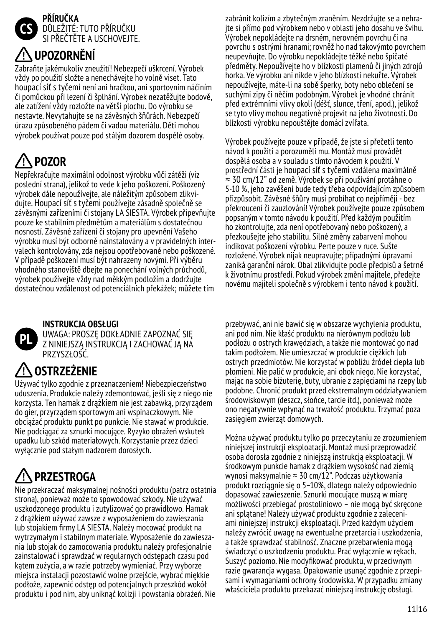![](_page_10_Picture_0.jpeg)

### **UPOZORNĚNÍ**

Zabraňte jakémukoliv zneužití! Nebezpečí uškrcení. Výrobek vždy po použití složte a nenechávejte ho volně viset. Tato houpací síť s tyčemi není ani hračkou, ani sportovním náčiním či pomůckou při lezení či šplhání. Výrobek nezatěžujte bodově, ale zatížení vždy rozložte na větší plochu. Do výrobku se nestavte. Nevytahujte se na závěsných šňůrách. Nebezpečí úrazu způsobeného pádem či vadou materiálu. Děti mohou výrobek používat pouze pod stálým dozorem dospělé osoby.

## **POZOR**

Nepřekračujte maximální odolnost výrobku vůči zátěži (viz poslední strana), jelikož to vede k jeho poškození. Poškozený výrobek dále nepoužívejte, ale náležitým způsobem zlikvidujte. Houpací síť s tyčemi používejte zásadně společně se závěsnými zařízeními či stojany LA SIESTA. Výrobek připevňujte pouze ke stabilním předmětům a materiálům s dostatečnou nosností. Závěsné zařízení či stojany pro upevnění Vašeho výrobku musí být odborně nainstalovány a v pravidelných intervalech kontrolovány, zda nejsou opotřebované nebo poškozené. V případě poškození musí být nahrazeny novými. Při výběru vhodného stanoviště dbejte na ponechání volných průchodů, výrobek používejte vždy nad měkkým podložím a dodržujte dostatečnou vzdálenost od potenciálních překážek; můžete tím

#### **INSTRUKCJA OBSŁUGI**

UWAGA: PROSZĘ DOKŁADNIE ZAPOZNAĆ SIĘ Z NINIEJSZĄ INSTRUKCJĄ I ZACHOWAĆ JĄ NA PRZYSZŁOŚĆ.

### **OSTRZEŻENIE**

Używać tylko zgodnie z przeznaczeniem! Niebezpieczeństwo uduszenia. Produkcie należy zdemontować, jeśli się z niego nie korzysta. Ten hamak z drążkiem nie jest zabawką, przyrządem do gier, przyrządem sportowym ani wspinaczkowym. Nie obciążać produktu punkt po punkcie. Nie stawać w produkcie. Nie podciągać za sznurki mocujące. Ryzyko obrażeń wskutek upadku lub szkód materiałowych. Korzystanie przez dzieci wyłącznie pod stałym nadzorem dorosłych.

## **PRZESTROGA**

Nie przekraczać maksymalnej nośności produktu (patrz ostatnia strona), ponieważ może to spowodować szkody. Nie używać uszkodzonego produktu i zutylizować go prawidłowo. Hamak z drążkiem używać zawsze z wyposażeniem do zawieszania lub stojakiem firmy LA SIESTA. Należy mocować produkt na wytrzymałym i stabilnym materiale. Wyposażenie do zawieszania lub stojak do zamocowania produktu należy profesjonalnie zainstalować i sprawdzać w regularnych odstępach czasu pod kątem zużycia, a w razie potrzeby wymieniać. Przy wyborze miejsca instalacji pozostawić wolne przejście, wybrać miękkie podłoże, zapewnić odstęp od potencjalnych przeszkód wokół produktu i pod nim, aby uniknąć kolizji i powstania obrażeń. Nie

zabránit kolizím a zbytečným zraněním. Nezdržujte se a nehrajte si přímo pod výrobkem nebo v oblasti jeho dosahu ve švihu. Výrobek nepokládejte na drsném, nerovném povrchu či na povrchu s ostrými hranami; rovněž ho nad takovýmto povrchem neupevňujte. Do výrobku nepokládejte těžké nebo špičaté předměty. Nepoužívejte ho v blízkosti plamenů či jiných zdrojů horka. Ve výrobku ani nikde v jeho blízkosti nekuřte. Výrobek nepoužívejte, máte-li na sobě šperky, boty nebo oblečení se suchými zipy či něčím podobným. Výrobek je vhodné chránit před extrémními vlivy okolí (déšť, slunce, tření, apod.), jelikož se tyto vlivy mohou negativně projevit na jeho životnosti. Do blízkosti výrobku nepouštějte domácí zvířata.

Výrobek používejte pouze v případě, že jste si přečetli tento návod k použití a porozuměli mu. Montáž musí provádět dospělá osoba a v souladu s tímto návodem k použití. V prostřední části je houpací síť s tyčemi vzdálena maximálně ≈ 30 cm/12" od země. Výrobek se při používání protáhne o 5-10 %, jeho zavěšení bude tedy třeba odpovídajícím způsobem přizpůsobit. Závěsné šňůry musí probíhat co nejpříměji - bez překroucení či zauzlování! Výrobek používejte pouze způsobem popsaným v tomto návodu k použití. Před každým použitím ho zkontrolujte, zda není opotřebovaný nebo poškozený, a přezkoušejte jeho stabilitu. Silné změny zabarvení mohou indikovat poškození výrobku. Perte pouze v ruce. Sušte rozložené. Výrobek nijak neupravujte; případnými úpravami zaniká garanční nárok. Obal zlikvidujte podle předpisů a šetrně k životnímu prostředí. Pokud výrobek změní majitele, předejte novému majiteli společně s výrobkem i tento návod k použití.

przebywać, ani nie bawić się w obszarze wychylenia produktu, ani pod nim. Nie kłaść produktu na nierównym podłożu lub podłożu o ostrych krawędziach, a także nie montować go nad takim podłożem. Nie umieszczać w produkcie ciężkich lub ostrych przedmiotów. Nie korzystać w pobliżu źródeł ciepła lub płomieni. Nie palić w produkcie, ani obok niego. Nie korzystać, mając na sobie biżuterię, buty, ubranie z zapięciami na rzepy lub podobne. Chronić produkt przed ekstremalnym oddziaływaniem środowiskowym (deszcz, słońce, tarcie itd.), ponieważ może ono negatywnie wpłynąć na trwałość produktu. Trzymać poza zasięgiem zwierząt domowych.

Można używać produktu tylko po przeczytaniu ze zrozumieniem niniejszej instrukcji eksploatacji. Montaż musi przeprowadzić osoba dorosła zgodnie z niniejszą instrukcją eksploatacji. W środkowym punkcie hamak z drążkiem wysokość nad ziemią wynosi maksymalnie ≈ 30 cm/12". Podczas użytkowania produkt rozciągnie się o 5–10%, dlatego należy odpowiednio dopasować zawieszenie. Sznurki mocujące muszą w miarę możliwości przebiegać prostoliniowo – nie mogą być skręcone ani splątane! Należy używać produktu zgodnie z zaleceniami niniejszej instrukcji eksploatacji. Przed każdym użyciem należy zwrócić uwagę na ewentualne przetarcia i uszkodzenia, a także sprawdzać stabilność. Znaczne przebarwienia mogą świadczyć o uszkodzeniu produktu. Prać wyłącznie w rękach. Suszyć poziomo. Nie modyfikować produktu, w przeciwnym razie gwarancja wygasa. Opakowanie usunąć zgodnie z przepisami i wymaganiami ochrony środowiska. W przypadku zmiany właściciela produktu przekazać niniejszą instrukcję obsługi.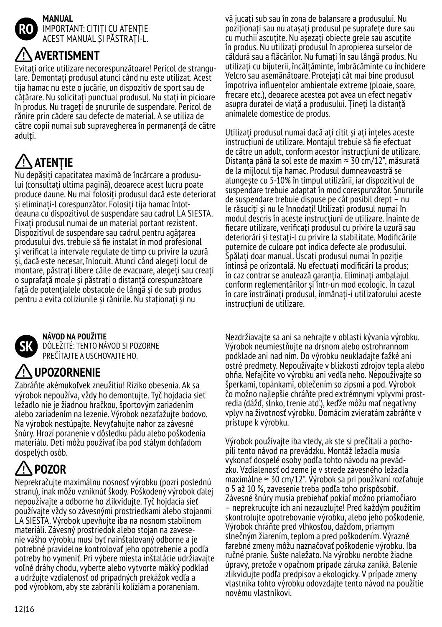![](_page_11_Picture_0.jpeg)

**MANUAL** IMPORTANT: CITIȚI CU ATENȚIE ACEST MANUAL ȘI PĂSTRAȚI-L.

#### **AVERTISMENT**

Evitați orice utilizare necorespunzătoare! Pericol de strangulare. Demontați produsul atunci când nu este utilizat. Acest tija hamac nu este o jucărie, un dispozitiv de sport sau de cățărare. Nu solicitați punctual produsul. Nu stați în picioare în produs. Nu trageți de șnururile de suspendare. Pericol de rănire prin cădere sau defecte de material. A se utiliza de către copii numai sub supravegherea în permanență de către adulți.

## **ATENȚIE**

Nu depășiți capacitatea maximă de încărcare a produsu- lui (consultați ultima pagină), deoarece acest lucru poate produce daune. Nu mai folosiți produsul dacă este deteriorat și eliminați-l corespunzător. Folosiți tija hamac întotdeauna cu dispozitivul de suspendare sau cadrul LA SIESTA. Fixați produsul numai de un material portant rezistent. Dispozitivul de suspendare sau cadrul pentru agățarea produsului dvs. trebuie să fie instalat în mod profesional și verificat la intervale regulate de timp cu privire la uzură și, dacă este necesar, înlocuit. Atunci când alegeți locul de montare, păstrați libere căile de evacuare, alegeți sau creați o suprafață moale și păstrați o distanță corespunzătoare față de potențialele obstacole de lângă și de sub produs pentru a evita coliziunile și rănirile. Nu staționați și nu

![](_page_11_Picture_6.jpeg)

#### **NÁVOD NA POUŽITIE**

DÔLEŽITÉ: TENTO NÁVOD SI POZORNE PREČÍTAJTE A USCHOVAJTE HO.

#### **UPOZORNENIE**

Zabráňte akémukoľvek zneužitiu! Riziko obesenia. Ak sa výrobok nepoužíva, vždy ho demontujte. Tyč hojdacia sieť ležadlo nie je žiadnou hračkou, športovým zariadením alebo zariadením na lezenie. Výrobok nezaťažujte bodovo. Na výrobok nestúpajte. Nevyťahujte nahor za závesné šnúry. Hrozí poranenie v dôsledku pádu alebo poškodenia materiálu. Deti môžu používať iba pod stálym dohľadom dospelých osôb.

## **POZOR**

Neprekračujte maximálnu nosnosť výrobku (pozri poslednú stranu), inak môžu vzniknúť škody. Poškodený výrobok ďalej nepoužívajte a odborne ho zlikvidujte. Tyč hojdacia sieť používajte vždy so závesnými prostriedkami alebo stojanmi LA SIESTA. Výrobok upevňujte iba na nosnom stabilnom materiáli. Závesný prostriedok alebo stojan na zavesenie vášho výrobku musí byť nainštalovaný odborne a je potrebné pravidelne kontrolovať jeho opotrebenie a podľa potreby ho vymeniť. Pri výbere miesta inštalácie udržiavajte voľné dráhy chodu, vyberte alebo vytvorte mäkký podklad a udržujte vzdialenosť od prípadných prekážok vedľa a pod výrobkom, aby ste zabránili kolíziám a poraneniam.

vă jucați sub sau în zona de balansare a produsului. Nu poziționați sau nu atașați produsul pe suprafețe dure sau cu muchii ascuțite. Nu așezați obiecte grele sau ascuțite în produs. Nu utilizați produsul în apropierea surselor de căldură sau a flăcărilor. Nu fumați în sau lângă produs. Nu utilizați cu bijuterii, încălțăminte, îmbrăcăminte cu închidere Velcro sau asemănătoare. Protejați cât mai bine produsul împotriva influențelor ambientale extreme (ploaie, soare, frecare etc.), deoarece acestea pot avea un efect negativ asupra duratei de viață a produsului. Țineți la distanță animalele domestice de produs.

Utilizați produsul numai dacă ați citit și ați înțeles aceste instrucțiuni de utilizare. Montajul trebuie să fie efectuat de către un adult, conform acestor instrucțiuni de utilizare. Distanța până la sol este de maxim ≈ 30 cm/12", măsurată de la mijlocul tija hamac. Produsul dumneavoastră se alungește cu 5-10% în timpul utilizării, iar dispozitivul de suspendare trebuie adaptat în mod corespunzător. Șnururile de suspendare trebuie dispuse pe cât posibil drept – nu le răsuciți și nu le înnodați! Utilizați produsul numai în modul descris în aceste instrucțiuni de utilizare. Înainte de fiecare utilizare, verificați produsul cu privire la uzură sau deteriorări și testați-l cu privire la stabilitate. Modificările puternice de culoare pot indica defecte ale produsului. Spălați doar manual. Uscați produsul numai în poziție întinsă pe orizontală. Nu efectuați modificări la produs; în caz contrar se anulează garanția. Eliminați ambalajul conform reglementărilor și într-un mod ecologic. În cazul în care înstrăinați produsul, înmânați-i utilizatorului aceste instrucțiuni de utilizare.

Nezdržiavajte sa ani sa nehrajte v oblasti kývania výrobku. Výrobok neumiestňujte na drsnom alebo ostrohrannom podklade ani nad ním. Do výrobku neukladajte ťažké ani ostré predmety. Nepoužívajte v blízkosti zdrojov tepla alebo ohňa. Nefajčite vo výrobku ani vedľa neho. Nepoužívajte so šperkami, topánkami, oblečením so zipsmi a pod. Výrobok čo možno najlepšie chráňte pred extrémnymi vplyvmi prost-<br>redia (dážď, slnko, trenie atď.), keďže môžu mať negatívny vplyv na životnosť výrobku. Domácim zvieratám zabráňte v prístupe k výrobku.

Výrobok používajte iba vtedy, ak ste si prečítali a pochopili tento návod na prevádzku. Montáž ležadla musia vykonať dospelé osoby podľa tohto návodu na prevádzku. Vzdialenosť od zeme je v strede závesného ležadla maximálne ≈ 30 cm/12". Výrobok sa pri používaní rozťahuje o 5 až 10 %, zavesenie treba podľa toho prispôsobiť. Závesné šnúry musia prebiehať pokiaľ možno priamočiaro – neprekrucujte ich ani nezauzlujte! Pred každým použitím skontrolujte opotrebovanie výrobku, alebo jeho poškodenie. Výrobok chráňte pred vlhkosťou, dažďom, priamym slnečným žiarením, teplom a pred poškodením. Výrazné farebné zmeny môžu naznačovať poškodenie výrobku. Iba ručné pranie. Sušte naležato. Na výrobku nerobte žiadne úpravy, pretože v opačnom prípade záruka zaniká. Balenie zlikvidujte podľa predpisov a ekologicky. V prípade zmeny vlastníka tohto výrobku odovzdajte tento návod na použitie novému vlastníkovi.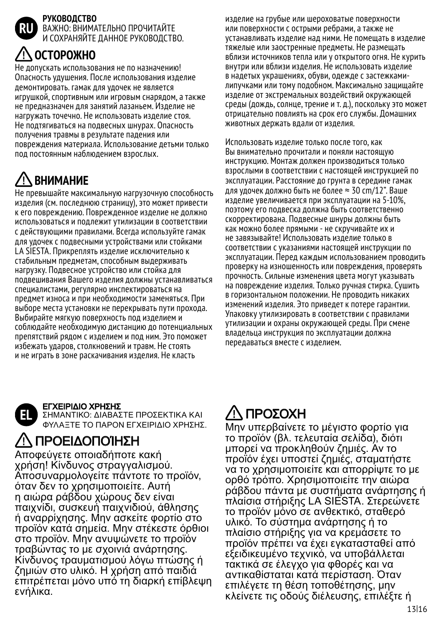![](_page_12_Picture_0.jpeg)

#### **РУКОВОДСТВО**

ВАЖНО: ВНИМАТЕЛЬНО ПРОЧИТАЙТЕ И СОХРАНЯЙТЕ ДАННОЕ РУКОВОДСТВО.

#### **ОСТОРОЖНО**

Не допускать использования не по назначению! Опасность удушения. После использования изделие демонтировать. гамак для удочек не является игрушкой, спортивным или игровым снарядом, а также не предназначен для занятий лазаньем. Изделие не нагружать точечно. Не использовать изделие стоя. Не подтягиваться на подвесных шнурах. Опасность получения травмы в результате падения или повреждения материала. Использование детьми только под постоянным наблюдением взрослых.

## **ВНИМАHИE**

Не превышайте максимальную нагрузочную способность изделия (см. последнюю страницу), это может привести к его повреждению. Поврежденное изделие не должно использоваться и подлежит утилизации в соответствии с действующими правилами. Всегда используйте гамак для удочек с подвесными устройствами или стойками LA SIESTA. Прикреплять изделие исключительно к стабильным предметам, способным выдерживать нагрузку. Подвесное устройство или стойка для подвешивания Вашего изделия должны устанавливаться специалистами, регулярно инспектироваться на предмет износа и при необходимости заменяться. При выборе места установки не перекрывать пути прохода. Выбирайте мягкую поверхность под изделием и соблюдайте необходимую дистанцию до потенциальных препятствий рядом с изделием и под ним. Это поможет избежать ударов, столкновений и травм. Не стоять и не играть в зоне раскачивания изделия. Не класть

изделие на грубые или шероховатые поверхности или поверхности с острыми ребрами, а также не устанавливать изделие над ними. Не помещать в изделие тяжелые или заостренные предметы. Не размещать вблизи источников тепла или у открытого огня. Не курить внутри или вблизи изделия. Не использовать изделие в надетых украшениях, обуви, одежде с застежкамилипучками или тому подобном. Максимально защищайте изделие от экстремальных воздействий окружающей среды (дождь, солнце, трение и т. д.), поскольку это может отрицательно повлиять на срок его службы. Домашних животных держать вдали от изделия.

Использовать изделие только после того, как Вы внимательно прочитали и поняли настоящую инструкцию. Монтаж должен производиться только взрослыми в соответствии с настоящей инструкцией по эксплуатации. Расстояние до грунта в середине гамак для удочек должно быть не более ≈ 30 cm/12". Ваше изделие увеличивается при эксплуатации на 5-10%, поэтому его подвеска должна быть соответственно скорректирована. Подвесные шнуры должны быть как можно более прямыми - не скручивайте их и не завязывайте! Использовать изделие только в соответствии с указаниями настоящей инструкции по эксплуатации. Перед каждым использованием проводить проверку на изношенность или повреждения, проверять прочность. Сильные изменения цвета могут указывать на повреждение изделия. Только ручная стирка. Сушить в горизонтальном положении. Не проводить никаких изменений изделия. Это приведет к потере гарантии. Упаковку утилизировать в соответствии с правилами утилизации и охраны окружающей среды. При смене владельца инструкция по эксплуатации должна передаваться вместе с изделием.

#### ΕΓΧΕΙΡΙΔΙΟ ΧΡΗΣΗΣ

ΣΗΜΑΝΤΙΚΟ: ΔΙΑΒΑΣΤΕ ΠΡΟΣΕΚΤΙΚΑ ΚΑΙ ΦΥΛΑΞΤΕ ΤΟ ΠΑΡΟΝ ΕΓΧΕΙΡΙΔΙΟ ΧΡΗΣΗΣ.

#### ΠΡΟΕΙΔΟΠΟΊΗΣΗ

Αποφεύγετε οποιαδήποτε κακή χρήση! Κίνδυνος στραγγαλισμού. Αποσυναρμολογείτε πάντοτε το προϊόν, όταν δεν το χρησιμοποιείτε. Αυτή η αιώρα ράβδου χώρους δεν είναι παιχνίδι, συσκευή παιχνιδιού, άθλησης ή αναρρίχησης. Μην ασκείτε φορτίο στο προϊόν κατά σημεία. Μην στέκεστε όρθιοι στο προϊόν. Μην ανυψώνετε το προϊόν τραβώντας το με σχοινιά ανάρτησης. Κίνδυνος τραυματισμού λόγω πτώσης ή ζημιών στο υλικό. Η χρήση από παιδιά επιτρέπεται μόνο υπό τη διαρκή επίβλεψη ενήλικα.

## ΠΡΟΣΟΧΗ

Μην υπερβαίνετε το μέγιστο φορτίο για το προϊόν (βλ. τελευταία σελίδα), διότι μπορεί να προκληθούν ζημιές. Αν το προϊόν έχει υποστεί ζημιές, σταματήστε να το χρησιμοποιείτε και απορρίψτε το με ορθό τρόπο. Χρησιμοποιείτε την αιώρα ράβδου πάντα με συστήματα ανάρτησης ή πλαίσια στήριξης LA SIESTA. Στερεώνετε το προϊόν μόνο σε ανθεκτικό, σταθερό υλικό. Το σύστημα ανάρτησης ή το πλαίσιο στήριξης για να κρεμάσετε το προϊόν πρέπει να έχει εγκατασταθεί από εξειδικευμένο τεχνικό, να υποβάλλεται τακτικά σε έλεγχο για φθορές και να αντικαθίσταται κατά περίσταση. Όταν επιλέγετε τη θέση τοποθέτησης, μην κλείνετε τις οδούς διέλευσης, επιλέξτε ή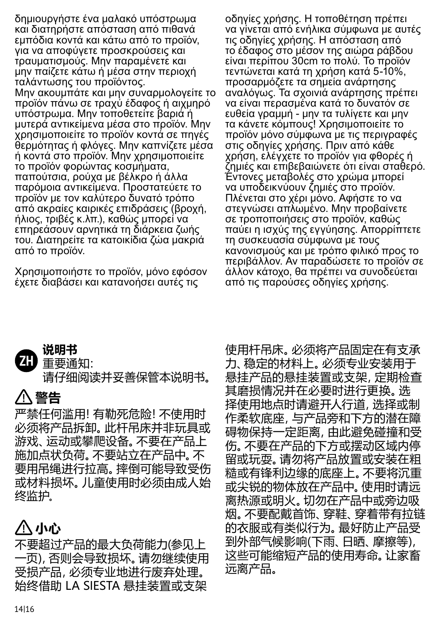δημιουργήστε ένα μαλακό υπόστρωμα και διατηρήστε απόσταση από πιθανά εμπόδια κοντά και κάτω από το προϊόν, για να αποφύγετε προσκρούσεις και τραυματισμούς. Μην παραμένετε και μην παίζετε κάτω ή μέσα στην περιοχή ταλάντωσης του προϊόντος. Μην ακουμπάτε και μην συναρμολογείτε το προϊόν πάνω σε τραχύ έδαφος ή αιχμηρό υπόστρωμα. Μην τοποθετείτε βαριά ή μυτερά αντικείμενα μέσα στο προϊόν. Μην χρησιμοποιείτε το προϊόν κοντά σε πηγές θερμότητας ή φλόγες. Μην καπνίζετε μέσα ή κοντά στο προϊόν. Μην χρησιμοποιείτε το προϊόν φορώντας κοσμήματα, παπούτσια, ρούχα με βέλκρο ή άλλα παρόμοια αντικείμενα. Προστατεύετε το προϊόν με τον καλύτερο δυνατό τρόπο από ακραίες καιρικές επιδράσεις (βροχή, ήλιος, τριβές κ.λπ.), καθώς μπορεί να επηρεάσουν αρνητικά τη διάρκεια ζωής του. Διατηρείτε τα κατοικίδια ζώα μακριά από το προϊόν.

Χρησιμοποιήστε το προϊόν, μόνο εφόσον έχετε διαβάσει και κατανοήσει αυτές τις

οδηγίες χρήσης. Η τοποθέτηση πρέπει να γίνεται από ενήλικα σύμφωνα με αυτές τις οδηγίες χρήσης. Η απόσταση από το έδαφος στο μέσον της αιώρα ράβδου είναι περίπου 30cm το πολύ. Το προϊόν τεντώνεται κατά τη χρήση κατά 5-10%, προσαρμόζετε τα σημεία ανάρτησης αναλόγως. Τα σχοινιά ανάρτησης πρέπει να είναι περασμένα κατά το δυνατόν σε ευθεία γραμμή - μην τα τυλίγετε και μην τα κάνετε κόμπους! Χρησιμοποιείτε το προϊόν μόνο σύμφωνα με τις περιγραφές στις οδηγίες χρήσης. Πριν από κάθε χρήση, ελέγχετε το προϊόν για φθορές ή ζημιές και επιβεβαιώνετε ότι είναι σταθερό. Έντονες μεταβολές στο χρώμα μπορεί να υποδεικνύουν ζημιές στο προϊόν. Πλένεται στο χέρι μόνο. Αφήστε το να στεγνώσει απλωμένο. Μην προβαίνετε σε τροποποιήσεις στο προϊόν, καθώς παύει η ισχύς της εγγύησης. Απορρίπτετε τη συσκευασία σύμφωνα με τους κανονισμούς και με τρόπο φιλικό προς το περιβάλλον. Αν παραδώσετε το προϊόν σε άλλον κάτοχο, θα πρέπει να συνοδεύεται από τις παρούσες οδηγίες χρήσης.

# **ZH**

**说明书** 重要通知:

请仔细阅读并妥善保管本说明书。

## **警告**

严禁任何滥用!有勒死危险!不使用时 必须将产品拆卸。此杆吊床并非玩具或 游戏、运动或攀爬设备。不要在产品上 施加点状负荷。不要站立在产品中。不 要用吊绳进行拉高。摔倒可能导致受伤 或材料损坏。儿童使用时必须由成人始 终监护。

## **小心**

不要超过产品的最大负荷能力(参见上 一页),否则会导致损坏。请勿继续使用 受损产品,必须专业地进行废弃处理。 始终借助 LA SIESTA 悬挂装置或支架

使用杆吊床。必须将产品固定在有支承 力、稳定的材料上。必须专业安装用于 悬挂产品的悬挂装置或支架,定期检查 其磨损情况并在必要时进行更换。选 择使用地点时请避开人行道,选择或制 作柔软底座,与产品旁和下方的潜在障 碍物保持一定距离,由此避免碰撞和受 伤。不要在产品的下方或摆动区域内停 留或玩耍。请勿将产品放置或安装在粗 糙或有锋利边缘的底座上。不要将沉重 或尖锐的物体放在产品中。使用时请远 离热源或明火。切勿在产品中或旁边吸 烟。不要配戴首饰、穿鞋、穿着带有拉链 的衣服或有类似行为。最好防止产品受 到外部气候影响(下雨、日晒、摩擦等), 这些可能缩短产品的使用寿命。让家畜 远离产品。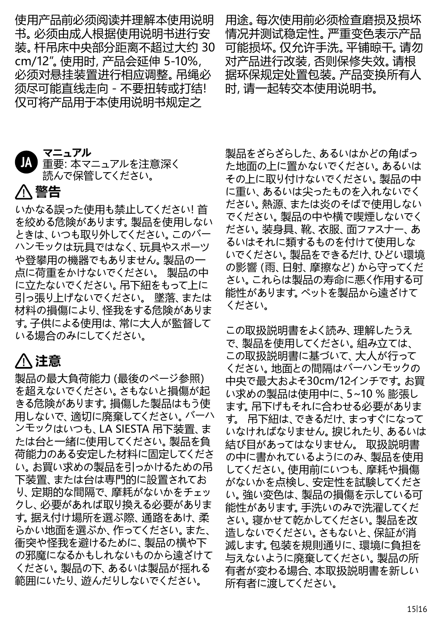使用产品前必须阅读并理解本使用说明 书。必须由成人根据使用说明书进行安 装。杆吊床中央部分距离不超过大约 30 cm/12"。使用时,产品会延伸 5-10%, 必须对悬挂装置进行相应调整。吊绳必 须尽可能直线走向 - 不要扭转或打结! 仅可将产品用于本使用说明书规定之

**マニュアル** IA) 重要:本マニュアルを注意深く 読んで保管してください。

#### **警告**

いかなる誤った使用も禁止してください!首 を絞める危険があります。製品を使用しない ときは、いつも取り外してください。このバー ハンモックは玩具ではなく、玩具やスポーツ や登攀用の機器でもありません。製品の一 点に荷重をかけないでください。 製品の中 に立たないでください。吊下紐をもって上に 引っ張り上げないでください。 墜落、または 材料の損傷により、怪我をする危険がありま す。子供による使用は、常に大人が監督して いる場合のみにしてください。

### **注意**

製品の最大負荷能力(最後のページ参照) を超えないでください。さもないと損傷が起 きる危険があります。損傷した製品はもう使 用しないで、適切に廃棄してください。バーハ ンモックはいつも、LA SIESTA 吊下装置、ま たは台と一緒に使用してください。製品を負 荷能力のある安定した材料に固定してくださ い。お買い求めの製品を引っかけるための吊 下装置、または台は専門的に設置されてお り、定期的な間隔で、摩耗がないかをチェッ クし、必要があれば取り換える必要がありま す。据え付け場所を選ぶ際、通路をあけ、柔 らかい地面を選ぶか、作ってください。また、 衝突や怪我を避けるために、製品の横や下 の邪魔になるかもしれないものから遠ざけて ください。製品の下、あるいは製品が揺れる 範囲にいたり、遊んだりしないでください。

用途。每次使用前必须检查磨损及损坏 情况并测试稳定性。严重变色表示产品 可能损坏。仅允许手洗。平铺晾干。请勿 对产品进行改装,否则保修失效。请根 据环保规定处置包装。产品变换所有人 时,请一起转交本使用说明书。

製品をざらざらした、あるいはかどの角ばっ た地面の上に置かないでください。あるいは その上に取り付けないでください。製品の中 に重い、あるいは尖ったものを入れないでく ださい。熱源、または炎のそばで使用しない でください。製品の中や横で喫煙しないでく ださい。装身具、靴、衣服、面ファスナー、あ るいはそれに類するものを付けて使用しな いでください。製品をできるだけ、ひどい環境 の影響(雨、日射、摩擦など)から守ってくだ さい。これらは製品の寿命に悪く作用する可 能性があります。ペットを製品から遠ざけて ください。

この取扱説明書をよく読み、理解したうえ で、製品を使用してください。組み立ては、 この取扱説明書に基づいて、大人が行って ください。地面との間隔はバーハンモックの 中央で最大およそ30cm/12インチです。お買 い求めの製品は使用中に、5~10 % 膨張し ます。吊下げもそれに合わせる必要がありま す。 吊下紐は、できるだけ、まっすぐになって いなければなりません。捩じれたり、あるいは 結び目があってはなりません。 取扱説明書 の中に書かれているようにのみ、製品を使用 してください。使用前にいつも、摩耗や損傷 がないかを点検し、安定性を試験してくださ い。強い変色は、製品の損傷を示している可 能性があります。手洗いのみで洗濯してくだ さい。寝かせて乾かしてください。製品を改 造しないでください。さもないと、保証が消 滅します。包装を規則通りに、環境に負担を 与えないように廃棄してください。製品の所 有者が変わる場合、本取扱説明書を新しい 所有者に渡してください。